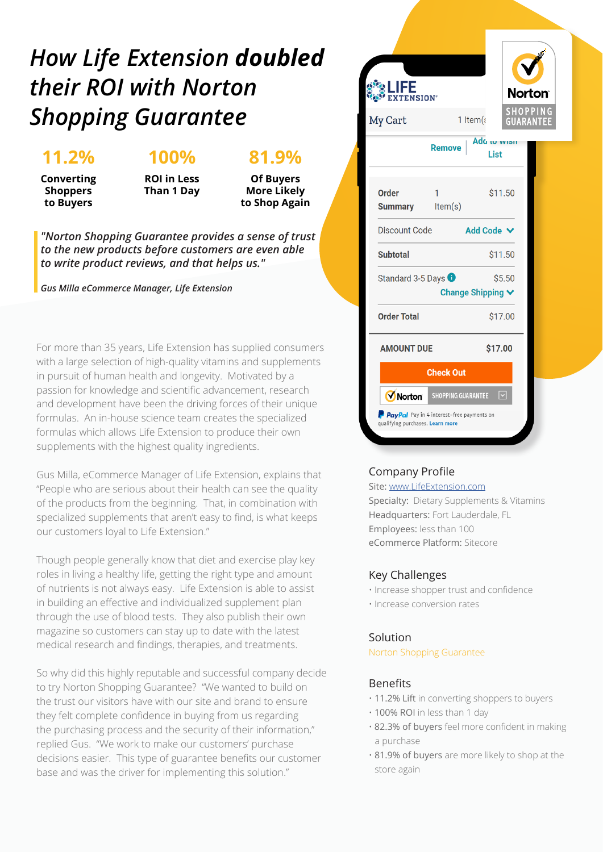## *How Life Extension doubled their ROI with Norton Shopping Guarantee*

### **11.2%**

#### **100%**

**81.9%**

**Converting Shoppers to Buyers**

**ROI in Less Than 1 Day**

**Of Buyers More Likely to Shop Again**

*"Norton Shopping Guarantee provides a sense of trust to the new products before customers are even able to write product reviews, and that helps us."*

*Gus Milla eCommerce Manager, Life Extension*

For more than 35 years, Life Extension has supplied consumers with a large selection of high-quality vitamins and supplements in pursuit of human health and longevity. Motivated by a passion for knowledge and scientific advancement, research and development have been the driving forces of their unique formulas. An in-house science team creates the specialized formulas which allows Life Extension to produce their own supplements with the highest quality ingredients.

Gus Milla, eCommerce Manager of Life Extension, explains that "People who are serious about their health can see the quality of the products from the beginning. That, in combination with specialized supplements that aren't easy to find, is what keeps our customers loyal to Life Extension."

Though people generally know that diet and exercise play key roles in living a healthy life, getting the right type and amount of nutrients is not always easy. Life Extension is able to assist in building an effective and individualized supplement plan through the use of blood tests. They also publish their own magazine so customers can stay up to date with the latest medical research and findings, therapies, and treatments.

So why did this highly reputable and successful company decide to try Norton Shopping Guarantee? "We wanted to build on the trust our visitors have with our site and brand to ensure they felt complete confidence in buying from us regarding the purchasing process and the security of their information," replied Gus. "We work to make our customers' purchase decisions easier. This type of guarantee benefits our customer base and was the driver for implementing this solution."



#### Company Profile

Site: www.LifeExtension.com

Specialty: Dietary Supplements & Vitamins Headquarters: Fort Lauderdale, FL Employees: less than 100 eCommerce Platform: Sitecore

#### Key Challenges

- Increase shopper trust and confidence
- Increase conversion rates

#### Solution

#### Norton Shopping Guarantee

#### Benefits

- 11.2% Lift in converting shoppers to buyers
- 100% ROI in less than 1 day
- 82.3% of buyers feel more confident in making a purchase
- 81.9% of buyers are more likely to shop at the store again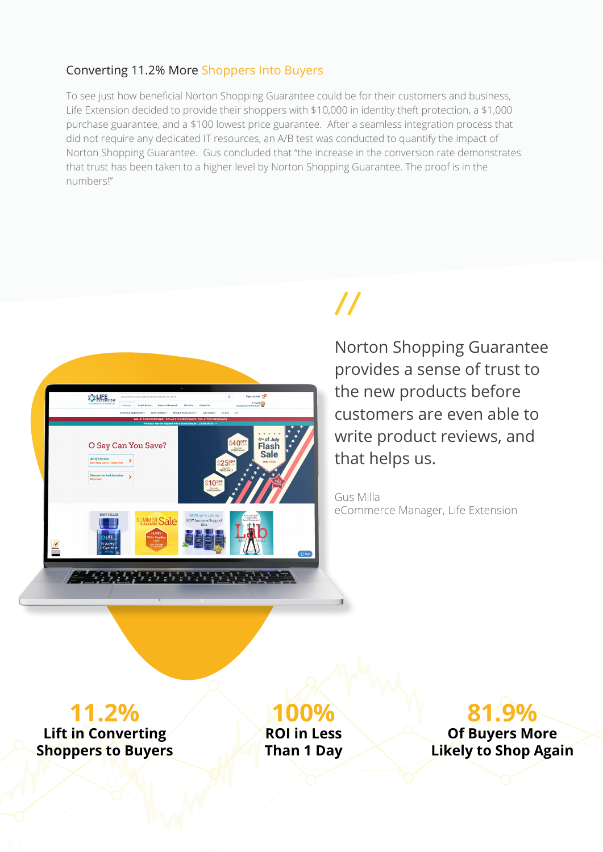#### Converting 11.2% More Shoppers Into Buyers

To see just how beneficial Norton Shopping Guarantee could be for their customers and business, Life Extension decided to provide their shoppers with \$10,000 in identity theft protection, a \$1,000 purchase guarantee, and a \$100 lowest price guarantee. After a seamless integration process that did not require any dedicated IT resources, an A/B test was conducted to quantify the impact of Norton Shopping Guarantee. Gus concluded that "the increase in the conversion rate demonstrates that trust has been taken to a higher level by Norton Shopping Guarantee. The proof is in the numbers!"



# $\boldsymbol{\mathcal{U}}$

Norton Shopping Guarantee provides a sense of trust to the new products before customers are even able to write product reviews, and that helps us.

Gus Milla eCommerce Manager, Life Extension

## **11.2%**

**Lift in Converting Shoppers to Buyers** **100%**

**ROI in Less Than 1 Day**

## **81.9%**

**Of Buyers More Likely to Shop Again**